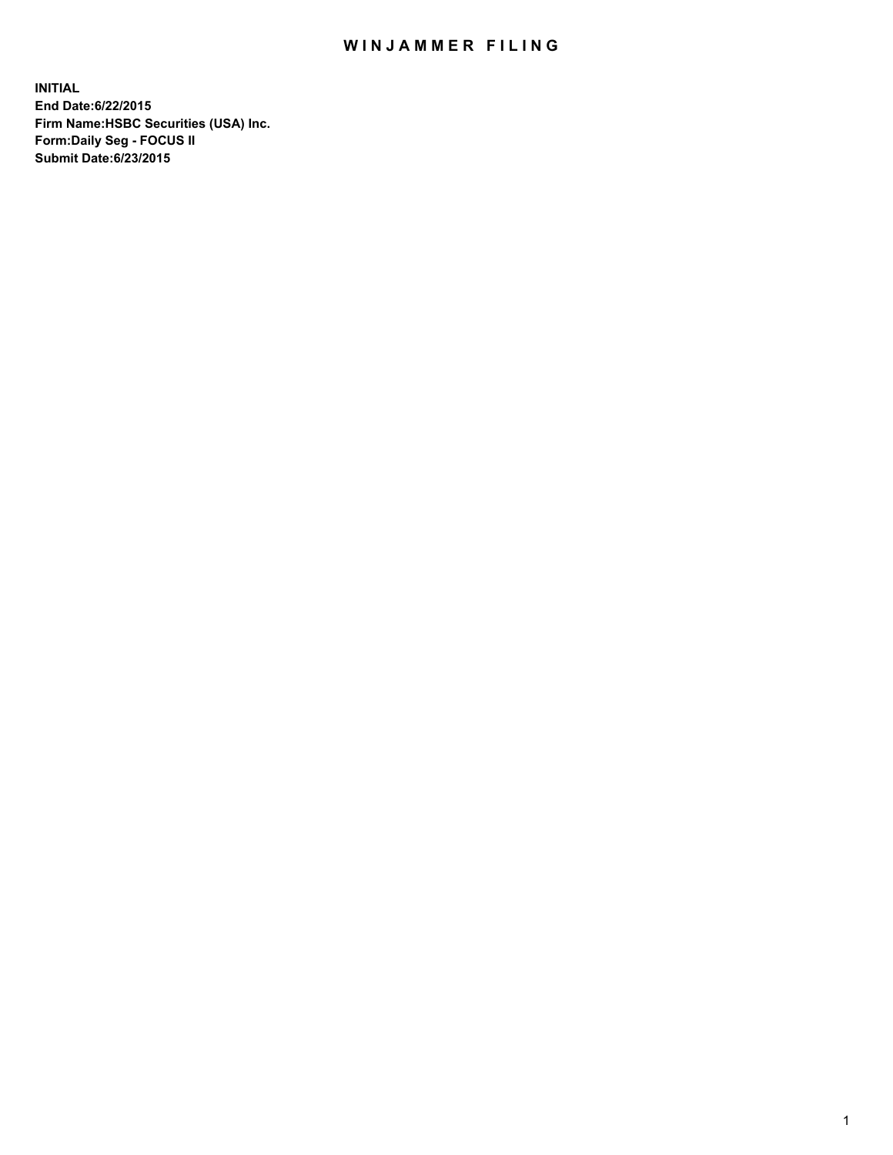## WIN JAMMER FILING

**INITIAL End Date:6/22/2015 Firm Name:HSBC Securities (USA) Inc. Form:Daily Seg - FOCUS II Submit Date:6/23/2015**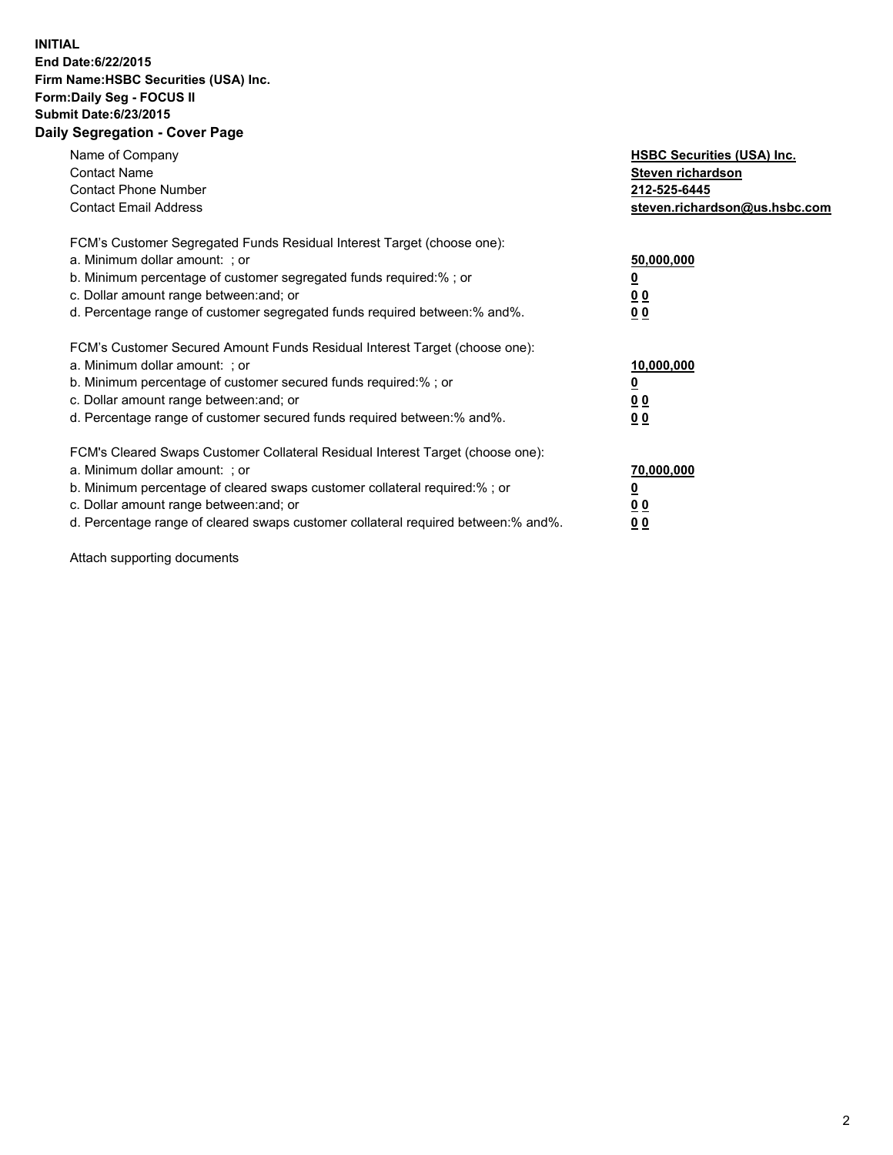## **INITIAL End Date:6/22/2015 Firm Name:HSBC Securities (USA) Inc. Form:Daily Seg - FOCUS II Submit Date:6/23/2015 Daily Segregation - Cover Page**

| Name of Company<br><b>Contact Name</b><br><b>Contact Phone Number</b><br><b>Contact Email Address</b>                                                                                                                                                                                                                          | <b>HSBC Securities (USA) Inc.</b><br>Steven richardson<br>212-525-6445<br>steven.richardson@us.hsbc.com |
|--------------------------------------------------------------------------------------------------------------------------------------------------------------------------------------------------------------------------------------------------------------------------------------------------------------------------------|---------------------------------------------------------------------------------------------------------|
| FCM's Customer Segregated Funds Residual Interest Target (choose one):<br>a. Minimum dollar amount: ; or<br>b. Minimum percentage of customer segregated funds required:%; or<br>c. Dollar amount range between: and; or<br>d. Percentage range of customer segregated funds required between: % and %.                        | 50,000,000<br>0 <sub>0</sub><br>0 <sub>0</sub>                                                          |
| FCM's Customer Secured Amount Funds Residual Interest Target (choose one):<br>a. Minimum dollar amount: ; or<br>b. Minimum percentage of customer secured funds required:%; or<br>c. Dollar amount range between: and; or<br>d. Percentage range of customer secured funds required between:% and%.                            | 10,000,000<br><u>0</u><br>0 <sub>0</sub><br>0 <sub>0</sub>                                              |
| FCM's Cleared Swaps Customer Collateral Residual Interest Target (choose one):<br>a. Minimum dollar amount: ; or<br>b. Minimum percentage of cleared swaps customer collateral required:% ; or<br>c. Dollar amount range between: and; or<br>d. Percentage range of cleared swaps customer collateral required between:% and%. | 70,000,000<br>00<br><u>00</u>                                                                           |

Attach supporting documents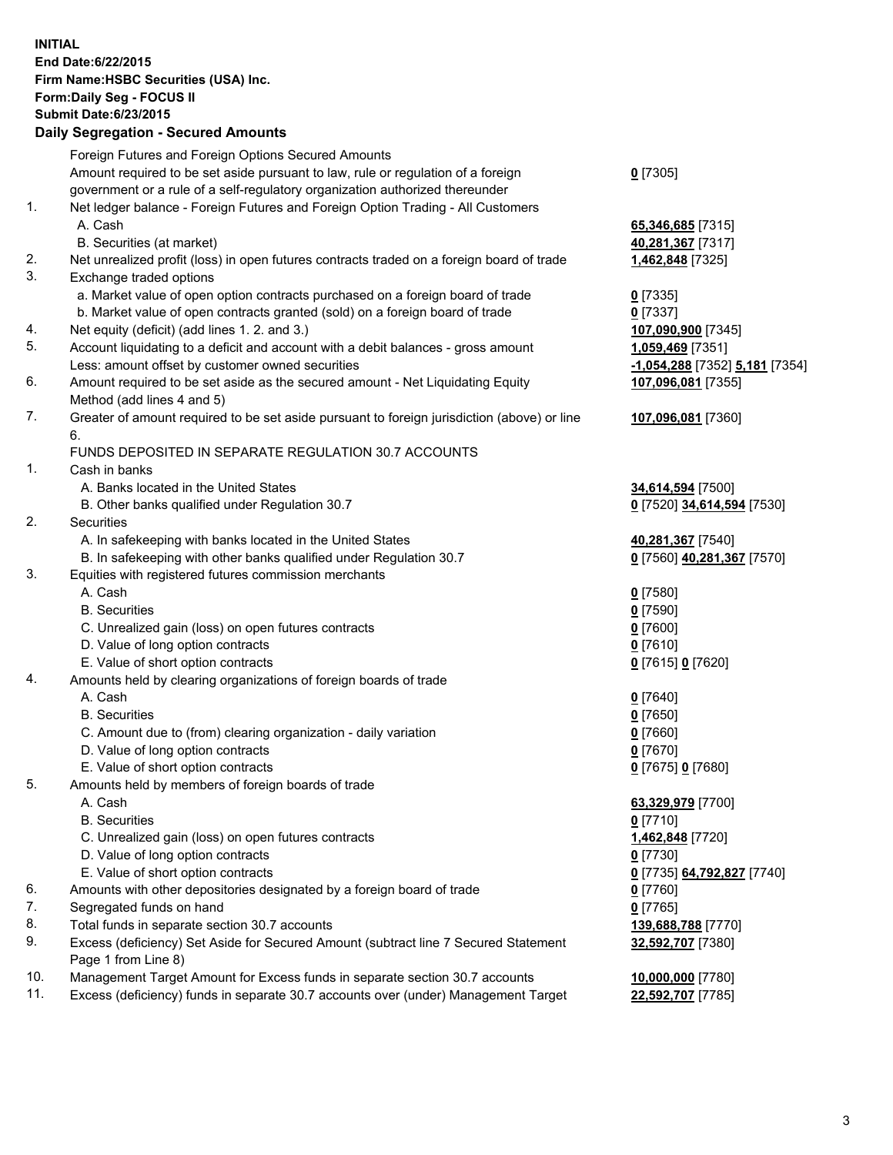**INITIAL End Date:6/22/2015 Firm Name:HSBC Securities (USA) Inc. Form:Daily Seg - FOCUS II Submit Date:6/23/2015**<br>**Daily Segregation - Secured Amounts Daily Segregation - Secure** 

|     | Daily Segregation - Secured Amounts                                                         |                                |
|-----|---------------------------------------------------------------------------------------------|--------------------------------|
|     | Foreign Futures and Foreign Options Secured Amounts                                         |                                |
|     | Amount required to be set aside pursuant to law, rule or regulation of a foreign            | $0$ [7305]                     |
|     | government or a rule of a self-regulatory organization authorized thereunder                |                                |
| 1.  | Net ledger balance - Foreign Futures and Foreign Option Trading - All Customers             |                                |
|     | A. Cash                                                                                     |                                |
|     |                                                                                             | 65,346,685 [7315]              |
|     | B. Securities (at market)                                                                   | 40,281,367 [7317]              |
| 2.  | Net unrealized profit (loss) in open futures contracts traded on a foreign board of trade   | 1,462,848 [7325]               |
| 3.  | Exchange traded options                                                                     |                                |
|     | a. Market value of open option contracts purchased on a foreign board of trade              | $0$ [7335]                     |
|     | b. Market value of open contracts granted (sold) on a foreign board of trade                | $0$ [7337]                     |
| 4.  | Net equity (deficit) (add lines 1.2. and 3.)                                                | 107,090,900 [7345]             |
| 5.  | Account liquidating to a deficit and account with a debit balances - gross amount           | 1,059,469 [7351]               |
|     | Less: amount offset by customer owned securities                                            | -1,054,288 [7352] 5,181 [7354] |
| 6.  | Amount required to be set aside as the secured amount - Net Liquidating Equity              | 107,096,081 [7355]             |
|     | Method (add lines 4 and 5)                                                                  |                                |
| 7.  | Greater of amount required to be set aside pursuant to foreign jurisdiction (above) or line | 107,096,081 [7360]             |
|     | 6.                                                                                          |                                |
|     | FUNDS DEPOSITED IN SEPARATE REGULATION 30.7 ACCOUNTS                                        |                                |
| 1.  | Cash in banks                                                                               |                                |
|     | A. Banks located in the United States                                                       | 34,614,594 [7500]              |
|     |                                                                                             |                                |
| 2.  | B. Other banks qualified under Regulation 30.7                                              | 0 [7520] 34,614,594 [7530]     |
|     | Securities                                                                                  |                                |
|     | A. In safekeeping with banks located in the United States                                   | 40,281,367 [7540]              |
|     | B. In safekeeping with other banks qualified under Regulation 30.7                          | 0 [7560] 40,281,367 [7570]     |
| 3.  | Equities with registered futures commission merchants                                       |                                |
|     | A. Cash                                                                                     | $0$ [7580]                     |
|     | <b>B.</b> Securities                                                                        | $0$ [7590]                     |
|     | C. Unrealized gain (loss) on open futures contracts                                         | $0$ [7600]                     |
|     | D. Value of long option contracts                                                           | $0$ [7610]                     |
|     | E. Value of short option contracts                                                          | 0 [7615] 0 [7620]              |
| 4.  | Amounts held by clearing organizations of foreign boards of trade                           |                                |
|     | A. Cash                                                                                     | $0$ [7640]                     |
|     | <b>B.</b> Securities                                                                        | $0$ [7650]                     |
|     | C. Amount due to (from) clearing organization - daily variation                             | $0$ [7660]                     |
|     | D. Value of long option contracts                                                           | $0$ [7670]                     |
|     | E. Value of short option contracts                                                          | 0 [7675] 0 [7680]              |
| 5.  | Amounts held by members of foreign boards of trade                                          |                                |
|     | A. Cash                                                                                     | 63,329,979 [7700]              |
|     | <b>B.</b> Securities                                                                        | $0$ [7710]                     |
|     | C. Unrealized gain (loss) on open futures contracts                                         | 1,462,848 [7720]               |
|     | D. Value of long option contracts                                                           | $0$ [7730]                     |
|     | E. Value of short option contracts                                                          | 0 [7735] 64,792,827 [7740]     |
| 6.  | Amounts with other depositories designated by a foreign board of trade                      | 0 [7760]                       |
| 7.  | Segregated funds on hand                                                                    | $0$ [7765]                     |
| 8.  | Total funds in separate section 30.7 accounts                                               | 139,688,788 [7770]             |
| 9.  | Excess (deficiency) Set Aside for Secured Amount (subtract line 7 Secured Statement         |                                |
|     |                                                                                             | 32,592,707 [7380]              |
| 10. | Page 1 from Line 8)                                                                         |                                |
| 11. | Management Target Amount for Excess funds in separate section 30.7 accounts                 | 10,000,000 [7780]              |
|     | Excess (deficiency) funds in separate 30.7 accounts over (under) Management Target          | 22,592,707 [7785]              |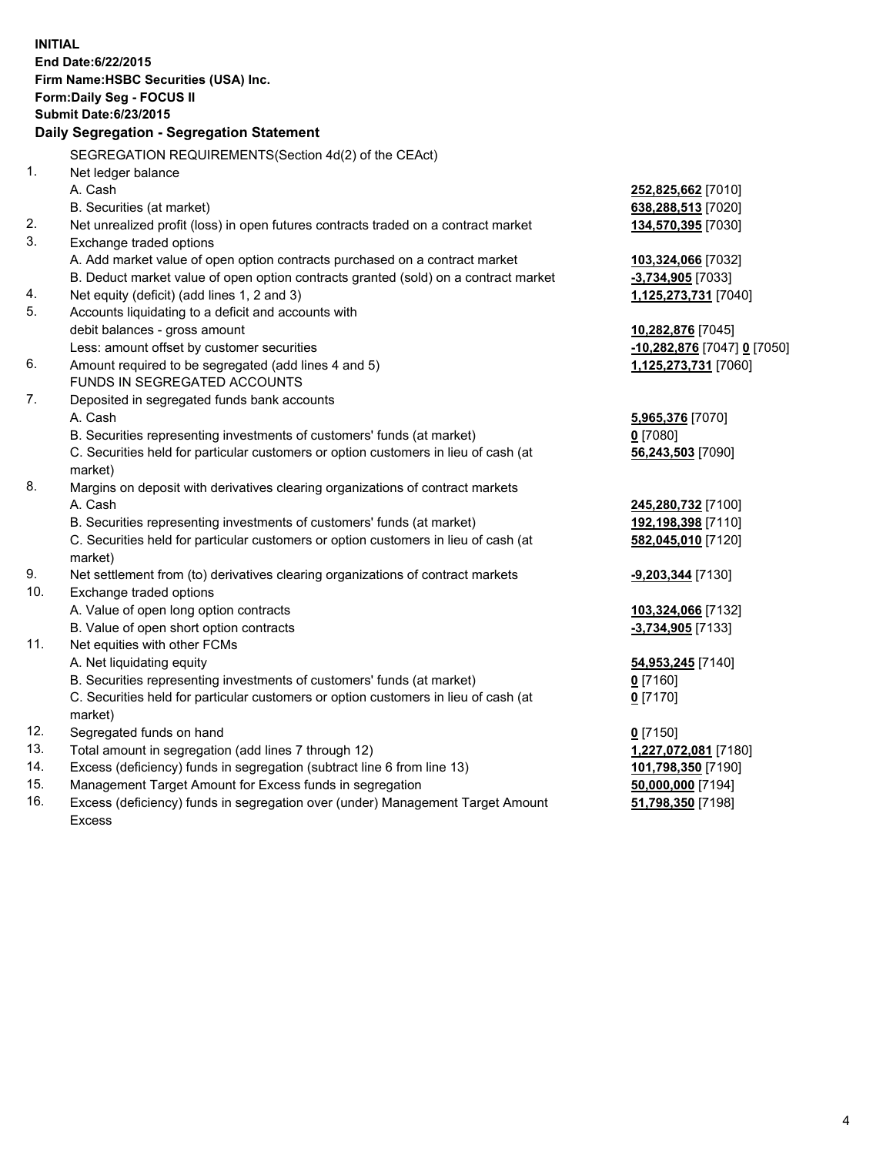| <b>INITIAL</b>                        |                                                                                           |                                          |  |  |  |
|---------------------------------------|-------------------------------------------------------------------------------------------|------------------------------------------|--|--|--|
| End Date: 6/22/2015                   |                                                                                           |                                          |  |  |  |
| Firm Name: HSBC Securities (USA) Inc. |                                                                                           |                                          |  |  |  |
| Form: Daily Seg - FOCUS II            |                                                                                           |                                          |  |  |  |
| <b>Submit Date:6/23/2015</b>          |                                                                                           |                                          |  |  |  |
|                                       | Daily Segregation - Segregation Statement                                                 |                                          |  |  |  |
|                                       | SEGREGATION REQUIREMENTS(Section 4d(2) of the CEAct)                                      |                                          |  |  |  |
| 1.                                    | Net ledger balance                                                                        |                                          |  |  |  |
|                                       | A. Cash                                                                                   | 252,825,662 [7010]                       |  |  |  |
|                                       | B. Securities (at market)                                                                 | 638,288,513 [7020]                       |  |  |  |
| 2.                                    | Net unrealized profit (loss) in open futures contracts traded on a contract market        | 134,570,395 [7030]                       |  |  |  |
| 3.                                    | Exchange traded options                                                                   |                                          |  |  |  |
|                                       | A. Add market value of open option contracts purchased on a contract market               | 103,324,066 [7032]                       |  |  |  |
|                                       | B. Deduct market value of open option contracts granted (sold) on a contract market       | -3,734,905 [7033]                        |  |  |  |
| 4.                                    | Net equity (deficit) (add lines 1, 2 and 3)                                               | 1,125,273,731 [7040]                     |  |  |  |
| 5.                                    | Accounts liquidating to a deficit and accounts with                                       |                                          |  |  |  |
|                                       | debit balances - gross amount                                                             | 10,282,876 [7045]                        |  |  |  |
|                                       | Less: amount offset by customer securities                                                | -10,282,876 [7047] 0 [7050]              |  |  |  |
| 6.                                    | Amount required to be segregated (add lines 4 and 5)                                      | 1,125,273,731 [7060]                     |  |  |  |
|                                       | FUNDS IN SEGREGATED ACCOUNTS                                                              |                                          |  |  |  |
| 7.                                    | Deposited in segregated funds bank accounts                                               |                                          |  |  |  |
|                                       | A. Cash                                                                                   | 5,965,376 [7070]                         |  |  |  |
|                                       | B. Securities representing investments of customers' funds (at market)                    | $0$ [7080]                               |  |  |  |
|                                       | C. Securities held for particular customers or option customers in lieu of cash (at       | 56,243,503 [7090]                        |  |  |  |
| 8.                                    | market)<br>Margins on deposit with derivatives clearing organizations of contract markets |                                          |  |  |  |
|                                       | A. Cash                                                                                   |                                          |  |  |  |
|                                       | B. Securities representing investments of customers' funds (at market)                    | 245,280,732 [7100]<br>192,198,398 [7110] |  |  |  |
|                                       | C. Securities held for particular customers or option customers in lieu of cash (at       | 582,045,010 [7120]                       |  |  |  |
|                                       | market)                                                                                   |                                          |  |  |  |
| 9.                                    | Net settlement from (to) derivatives clearing organizations of contract markets           | <u>-9,203,344</u> [7130]                 |  |  |  |
| 10.                                   | Exchange traded options                                                                   |                                          |  |  |  |
|                                       | A. Value of open long option contracts                                                    | 103,324,066 [7132]                       |  |  |  |
|                                       | B. Value of open short option contracts                                                   | -3,734,905 [7133]                        |  |  |  |
| 11.                                   | Net equities with other FCMs                                                              |                                          |  |  |  |
|                                       | A. Net liquidating equity                                                                 | 54,953,245 [7140]                        |  |  |  |
|                                       | B. Securities representing investments of customers' funds (at market)                    | $0$ [7160]                               |  |  |  |
|                                       | C. Securities held for particular customers or option customers in lieu of cash (at       | $0$ [7170]                               |  |  |  |
|                                       | market)                                                                                   |                                          |  |  |  |
| 12.                                   | Segregated funds on hand                                                                  | $0$ [7150]                               |  |  |  |
| 13.                                   | Total amount in segregation (add lines 7 through 12)                                      | 1,227,072,081 [7180]                     |  |  |  |
| 14.                                   | Excess (deficiency) funds in segregation (subtract line 6 from line 13)                   | 101,798,350 [7190]                       |  |  |  |
| 15.                                   | Management Target Amount for Excess funds in segregation                                  | 50,000,000 [7194]                        |  |  |  |

16. Excess (deficiency) funds in segregation over (under) Management Target Amount Excess

**51,798,350** [7198]